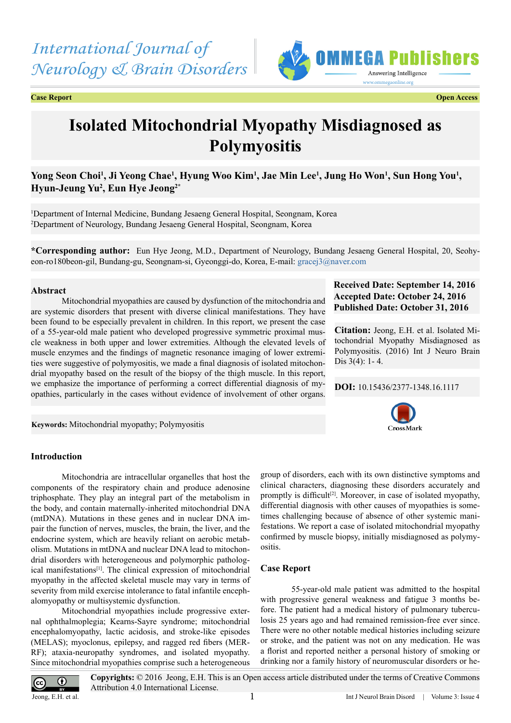*International Journal of Neurology & Brain Disorders*





# **Isolated Mitochondrial Myopathy Misdiagnosed as Polymyositis**

## Yong Seon Choi<sup>1</sup>, Ji Yeong Chae<sup>1</sup>, Hyung Woo Kim<sup>1</sup>, Jae Min Lee<sup>1</sup>, Jung Ho Won<sup>1</sup>, Sun Hong You<sup>1</sup>, **Hyun-Jeung Yu2 , Eun Hye Jeong2\***

1 Department of Internal Medicine, Bundang Jesaeng General Hospital, Seongnam, Korea 2 Department of Neurology, Bundang Jesaeng General Hospital, Seongnam, Korea

**\*Corresponding author:** Eun Hye Jeong, M.D., Department of Neurology, Bundang Jesaeng General Hospital, 20, Seohyeon-ro180beon-gil, Bundang-gu, Seongnam-si, Gyeonggi-do, Korea, E-mail: [gracej3@naver.com](mailto:gracej3@naver.com)

#### **Abstract**

Mitochondrial myopathies are caused by dysfunction of the mitochondria and are systemic disorders that present with diverse clinical manifestations. They have been found to be especially prevalent in children. In this report, we present the case of a 55-year-old male patient who developed progressive symmetric proximal muscle weakness in both upper and lower extremities. Although the elevated levels of muscle enzymes and the findings of magnetic resonance imaging of lower extremities were suggestive of polymyositis, we made a final diagnosis of isolated mitochondrial myopathy based on the result of the biopsy of the thigh muscle. In this report, we emphasize the importance of performing a correct differential diagnosis of myopathies, particularly in the cases without evidence of involvement of other organs.

## **Received Date: September 14, 2016 Accepted Date: October 24, 2016 Published Date: October 31, 2016**

**Citation:** Jeong, E.H. et al. Isolated Mitochondrial Myopathy Misdiagnosed as Polymyositis. (2016) Int J Neuro Brain Dis 3(4): 1- 4.

#### **DOI:** [10.15436/2377-1348.16.1](http://www.dx.doi.org/10.15436/2377-1348.16.1117
)117



**Keywords:** Mitochondrial myopathy; Polymyositis

## **Introduction**

Mitochondria are intracellular organelles that host the components of the respiratory chain and produce adenosine triphosphate. They play an integral part of the metabolism in the body, and contain maternally-inherited mitochondrial DNA (mtDNA). Mutations in these genes and in nuclear DNA impair the function of nerves, muscles, the brain, the liver, and the endocrine system, which are heavily reliant on aerobic metabolism. Mutations in mtDNA and nuclear DNA lead to mitochondrial disorders with heterogeneous and polymorphic pathological manifestation[s\[1\]](#page-3-0). The clinical expression of mitochondrial myopathy in the affected skeletal muscle may vary in terms of severity from mild exercise intolerance to fatal infantile encephalomyopathy or multisystemic dysfunction.

Mitochondrial myopathies include progressive external ophthalmoplegia; Kearns-Sayre syndrome; mitochondrial encephalomyopathy, lactic acidosis, and stroke-like episodes (MELAS); myoclonus, epilepsy, and ragged red fibers (MER-RF); ataxia-neuropathy syndromes, and isolated myopathy. Since mitochondrial myopathies comprise such a heterogeneous

group of disorders, each with its own distinctive symptoms and clinical characters, diagnosing these disorders accurately and promptly is difficult<sup>[\[2\]](#page-3-1)</sup>. Moreover, in case of isolated myopathy, differential diagnosis with other causes of myopathies is sometimes challenging because of absence of other systemic manifestations. We report a case of isolated mitochondrial myopathy confirmed by muscle biopsy, initially misdiagnosed as polymyositis.

### **Case Report**

55-year-old male patient was admitted to the hospital with progressive general weakness and fatigue 3 months before. The patient had a medical history of pulmonary tuberculosis 25 years ago and had remained remission-free ever since. There were no other notable medical histories including seizure or stroke, and the patient was not on any medication. He was a florist and reported neither a personal history of smoking or drinking nor a family history of neuromuscular disorders or he-

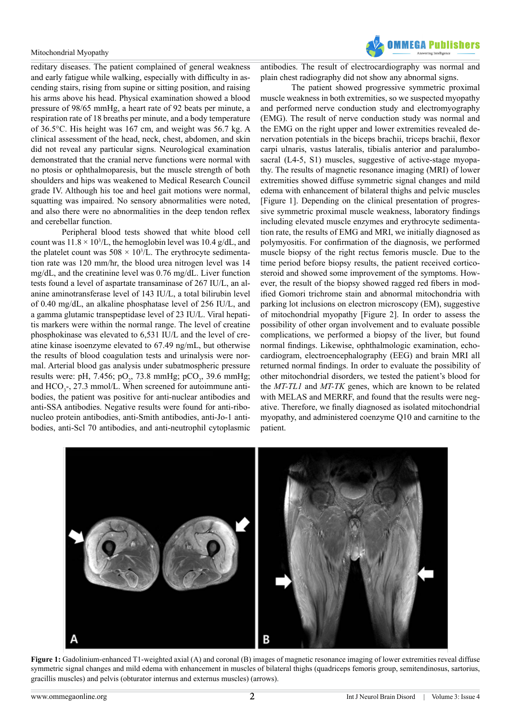#### Mitochondrial Myopathy

reditary diseases. The patient complained of general weakness and early fatigue while walking, especially with difficulty in ascending stairs, rising from supine or sitting position, and raising his arms above his head. Physical examination showed a blood pressure of 98/65 mmHg, a heart rate of 92 beats per minute, a respiration rate of 18 breaths per minute, and a body temperature of 36.5°C. His height was 167 cm, and weight was 56.7 kg. A clinical assessment of the head, neck, chest, abdomen, and skin did not reveal any particular signs. Neurological examination demonstrated that the cranial nerve functions were normal with no ptosis or ophthalmoparesis, but the muscle strength of both shoulders and hips was weakened to Medical Research Council grade IV. Although his toe and heel gait motions were normal, squatting was impaired. No sensory abnormalities were noted, and also there were no abnormalities in the deep tendon reflex and cerebellar function.

Peripheral blood tests showed that white blood cell count was  $11.8 \times 10^{3}/L$ , the hemoglobin level was 10.4 g/dL, and the platelet count was  $508 \times 10^{3}/L$ . The erythrocyte sedimentation rate was 120 mm/hr, the blood urea nitrogen level was 14 mg/dL, and the creatinine level was 0.76 mg/dL. Liver function tests found a level of aspartate transaminase of 267 IU/L, an alanine aminotransferase level of 143 IU/L, a total bilirubin level of 0.40 mg/dL, an alkaline phosphatase level of 256 IU/L, and a gamma glutamic transpeptidase level of 23 IU/L. Viral hepatitis markers were within the normal range. The level of creatine phosphokinase was elevated to 6,531 IU/L and the level of creatine kinase isoenzyme elevated to 67.49 ng/mL, but otherwise the results of blood coagulation tests and urinalysis were normal. Arterial blood gas analysis under subatmospheric pressure results were: pH, 7.456; pO<sub>2</sub>, 73.8 mmHg; pCO<sub>2</sub>, 39.6 mmHg; and  $HCO<sub>3</sub>$ , 27.3 mmol/L. When screened for autoimmune antibodies, the patient was positive for anti-nuclear antibodies and anti-SSA antibodies. Negative results were found for anti-ribonucleo protein antibodies, anti-Smith antibodies, anti-Jo-1 antibodies, anti-Scl 70 antibodies, and anti-neutrophil cytoplasmic

antibodies. The result of electrocardiography was normal and plain chest radiography did not show any abnormal signs.

The patient showed progressive symmetric proximal muscle weakness in both extremities, so we suspected myopathy and performed nerve conduction study and electromyography (EMG). The result of nerve conduction study was normal and the EMG on the right upper and lower extremities revealed denervation potentials in the biceps brachii, triceps brachii, flexor carpi ulnaris, vastus lateralis, tibialis anterior and paralumbosacral (L4-5, S1) muscles, suggestive of active-stage myopathy. The results of magnetic resonance imaging (MRI) of lower extremities showed diffuse symmetric signal changes and mild edema with enhancement of bilateral thighs and pelvic muscles [Figure 1]. Depending on the clinical presentation of progressive symmetric proximal muscle weakness, laboratory findings including elevated muscle enzymes and erythrocyte sedimentation rate, the results of EMG and MRI, we initially diagnosed as polymyositis. For confirmation of the diagnosis, we performed muscle biopsy of the right rectus femoris muscle. Due to the time period before biopsy results, the patient received corticosteroid and showed some improvement of the symptoms. However, the result of the biopsy showed ragged red fibers in modified Gomori trichrome stain and abnormal mitochondria with parking lot inclusions on electron microscopy (EM), suggestive of mitochondrial myopathy [Figure 2]. In order to assess the possibility of other organ involvement and to evaluate possible complications, we performed a biopsy of the liver, but found normal findings. Likewise, ophthalmologic examination, echocardiogram, electroencephalography (EEG) and brain MRI all returned normal findings. In order to evaluate the possibility of other mitochondrial disorders, we tested the patient's blood for the *MT-TL1* and *MT-TK* genes, which are known to be related with MELAS and MERRF, and found that the results were negative. Therefore, we finally diagnosed as isolated mitochondrial myopathy, and administered coenzyme Q10 and carnitine to the patient.



**Figure 1:** Gadolinium-enhanced T1-weighted axial (A) and coronal (B) images of magnetic resonance imaging of lower extremities reveal diffuse symmetric signal changes and mild edema with enhancement in muscles of bilateral thighs (quadriceps femoris group, semitendinosus, sartorius, gracillis muscles) and pelvis (obturator internus and externus muscles) (arrows).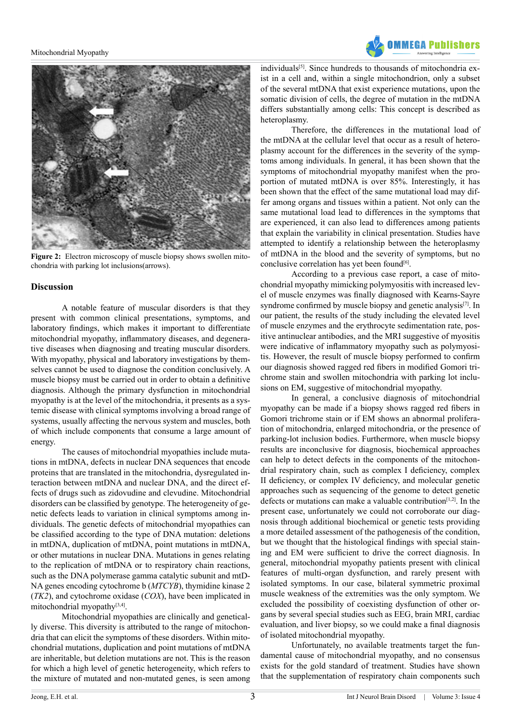#### Mitochondrial Myopathy



Figure 2: Electron microscopy of muscle biopsy shows swollen mitochondria with parking lot inclusions(arrows).

#### **Discussion**

A notable feature of muscular disorders is that they present with common clinical presentations, symptoms, and laboratory findings, which makes it important to differentiate mitochondrial myopathy, inflammatory diseases, and degenerative diseases when diagnosing and treating muscular disorders. With myopathy, physical and laboratory investigations by themselves cannot be used to diagnose the condition conclusively. A muscle biopsy must be carried out in order to obtain a definitive diagnosis. Although the primary dysfunction in mitochondrial myopathy is at the level of the mitochondria, it presents as a systemic disease with clinical symptoms involving a broad range of systems, usually affecting the nervous system and muscles, both of which include components that consume a large amount of energy.

The causes of mitochondrial myopathies include mutations in mtDNA, defects in nuclear DNA sequences that encode proteins that are translated in the mitochondria, dysregulated interaction between mtDNA and nuclear DNA, and the direct effects of drugs such as zidovudine and clevudine. Mitochondrial disorders can be classified by genotype. The heterogeneity of genetic defects leads to variation in clinical symptoms among individuals. The genetic defects of mitochondrial myopathies can be classified according to the type of DNA mutation: deletions in mtDNA, duplication of mtDNA, point mutations in mtDNA, or other mutations in nuclear DNA. Mutations in genes relating to the replication of mtDNA or to respiratory chain reactions, such as the DNA polymerase gamma catalytic subunit and mtD-NA genes encoding cytochrome b (*MTCYB*), thymidine kinase 2 (*TK2*), and cytochrome oxidase (*COX*), have been implicated in mitochondrial myopathy[\[3,4\].](#page-3-2)

Mitochondrial myopathies are clinically and genetically diverse. This diversity is attributed to the range of mitochondria that can elicit the symptoms of these disorders. Within mitochondrial mutations, duplication and point mutations of mtDNA are inheritable, but deletion mutations are not. This is the reason for which a high level of genetic heterogeneity, which refers to the mixture of mutated and non-mutated genes, is seen among individuals<sup>[5]</sup>. Since hundreds to thousands of mitochondria exist in a cell and, within a single mitochondrion, only a subset of the several mtDNA that exist experience mutations, upon the somatic division of cells, the degree of mutation in the mtDNA differs substantially among cells: This concept is described as heteroplasmy.

Therefore, the differences in the mutational load of the mtDNA at the cellular level that occur as a result of heteroplasmy account for the differences in the severity of the symptoms among individuals. In general, it has been shown that the symptoms of mitochondrial myopathy manifest when the proportion of mutated mtDNA is over 85%. Interestingly, it has been shown that the effect of the same mutational load may differ among organs and tissues within a patient. Not only can the same mutational load lead to differences in the symptoms that are experienced, it can also lead to differences among patients that explain the variability in clinical presentation. Studies have attempted to identify a relationship between the heteroplasmy of mtDNA in the blood and the severity of symptoms, but no conclusive correlation has yet been found<sup>[6]</sup>.

According to a previous case report, a case of mitochondrial myopathy mimicking polymyositis with increased level of muscle enzymes was finally diagnosed with Kearns-Sayre syndrome confirmed by muscle biopsy and genetic analysis<sup>[\[7\]](#page-3-5)</sup>. In our patient, the results of the study including the elevated level of muscle enzymes and the erythrocyte sedimentation rate, positive antinuclear antibodies, and the MRI suggestive of myositis were indicative of inflammatory myopathy such as polymyositis. However, the result of muscle biopsy performed to confirm our diagnosis showed ragged red fibers in modified Gomori trichrome stain and swollen mitochondria with parking lot inclusions on EM, suggestive of mitochondrial myopathy.

In general, a conclusive diagnosis of mitochondrial myopathy can be made if a biopsy shows ragged red fibers in Gomori trichrome stain or if EM shows an abnormal proliferation of mitochondria, enlarged mitochondria, or the presence of parking-lot inclusion bodies. Furthermore, when muscle biopsy results are inconclusive for diagnosis, biochemical approaches can help to detect defects in the components of the mitochondrial respiratory chain, such as complex I deficiency, complex II deficiency, or complex IV deficiency, and molecular genetic approaches such as sequencing of the genome to detect genetic defects or mutations can make a valuable contribution $[1,2]$ . In the present case, unfortunately we could not corroborate our diagnosis through additional biochemical or genetic tests providing a more detailed assessment of the pathogenesis of the condition, but we thought that the histological findings with special staining and EM were sufficient to drive the correct diagnosis. In general, mitochondrial myopathy patients present with clinical features of multi-organ dysfunction, and rarely present with isolated symptoms. In our case, bilateral symmetric proximal muscle weakness of the extremities was the only symptom. We excluded the possibility of coexisting dysfunction of other organs by several special studies such as EEG, brain MRI, cardiac evaluation, and liver biopsy, so we could make a final diagnosis of isolated mitochondrial myopathy.

Unfortunately, no available treatments target the fundamental cause of mitochondrial myopathy, and no consensus exists for the gold standard of treatment. Studies have shown that the supplementation of respiratory chain components such